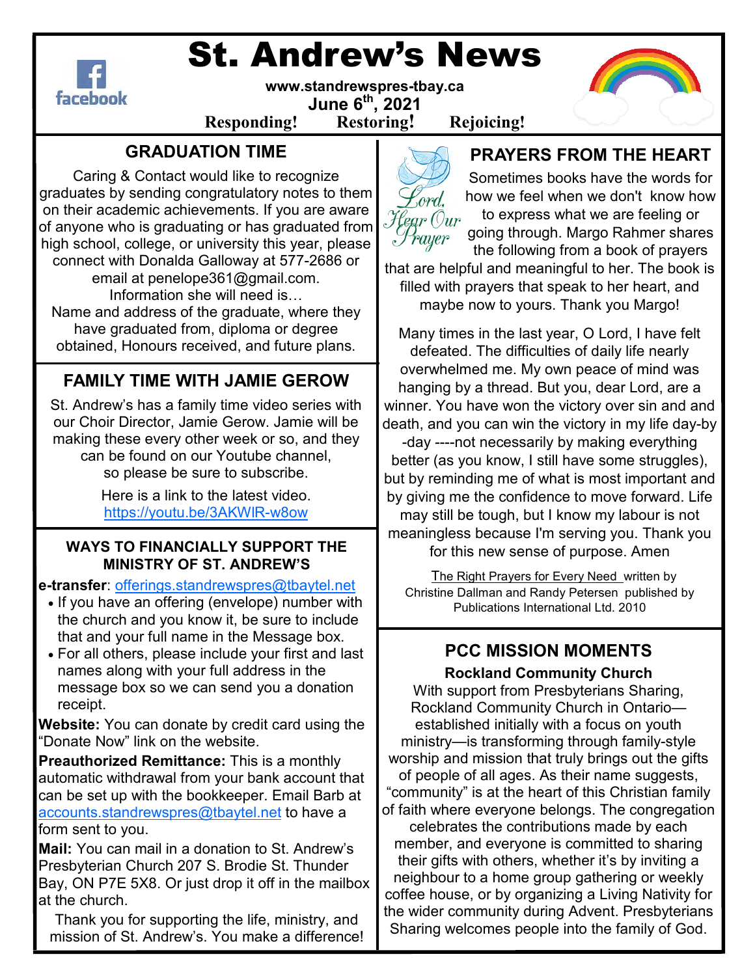

# St. Andrew's News



#### **www.standrewspres-tbay.ca June 6th, 2021 Responding! Restoring! Rejoicing!**

## **GRADUATION TIME**

Caring & Contact would like to recognize graduates by sending congratulatory notes to them on their academic achievements. If you are aware of anyone who is graduating or has graduated from high school, college, or university this year, please connect with Donalda Galloway at 577-2686 or

email at penelope361@gmail.com. Information she will need is... Name and address of the graduate, where they have graduated from, diploma or degree obtained, Honours received, and future plans.

### **FAMILY TIME WITH JAMIE GEROW**

St. Andrew's has a family time video series with our Choir Director, Jamie Gerow. Jamie will be making these every other week or so, and they can be found on our Youtube channel, so please be sure to subscribe.

> Here is a link to the latest video. https://youtu.be/3AKWlR-w8ow

#### **WAYS TO FINANCIALLY SUPPORT THE MINISTRY OF ST. ANDREW'S**

**e-transfer**: offerings.standrewspres@tbaytel.net

- If you have an offering (envelope) number with the church and you know it, be sure to include that and your full name in the Message box.
- For all others, please include your first and last names along with your full address in the message box so we can send you a donation receipt.

**Website:** You can donate by credit card using the "Donate Now" link on the website.

**Preauthorized Remittance:** This is a monthly automatic withdrawal from your bank account that can be set up with the bookkeeper. Email Barb at accounts.standrewspres@tbaytel.net to have a form sent to you.

**Mail:** You can mail in a donation to St. Andrew's Presbyterian Church 207 S. Brodie St. Thunder Bay, ON P7E 5X8. Or just drop it off in the mailbox at the church.

Thank you for supporting the life, ministry, and mission of St. Andrew's. You make a difference!



### **PRAYERS FROM THE HEART**

Sometimes books have the words for how we feel when we don't know how to express what we are feeling or going through. Margo Rahmer shares the following from a book of prayers

that are helpful and meaningful to her. The book is filled with prayers that speak to her heart, and maybe now to yours. Thank you Margo!

Many times in the last year, O Lord, I have felt defeated. The difficulties of daily life nearly overwhelmed me. My own peace of mind was hanging by a thread. But you, dear Lord, are a winner. You have won the victory over sin and and death, and you can win the victory in my life day-by -day ----not necessarily by making everything better (as you know, I still have some struggles), but by reminding me of what is most important and by giving me the confidence to move forward. Life may still be tough, but I know my labour is not meaningless because I'm serving you. Thank you for this new sense of purpose. Amen

 The Right Prayers for Every Need written by Christine Dallman and Randy Petersen published by Publications International Ltd. 2010

## **PCC MISSION MOMENTS**

**Rockland Community Church**  With support from Presbyterians Sharing, Rockland Community Church in Ontario established initially with a focus on youth ministry—is transforming through family-style worship and mission that truly brings out the gifts of people of all ages. As their name suggests, "community" is at the heart of this Christian family of faith where everyone belongs. The congregation celebrates the contributions made by each member, and everyone is committed to sharing their gifts with others, whether it's by inviting a neighbour to a home group gathering or weekly coffee house, or by organizing a Living Nativity for the wider community during Advent. Presbyterians Sharing welcomes people into the family of God.